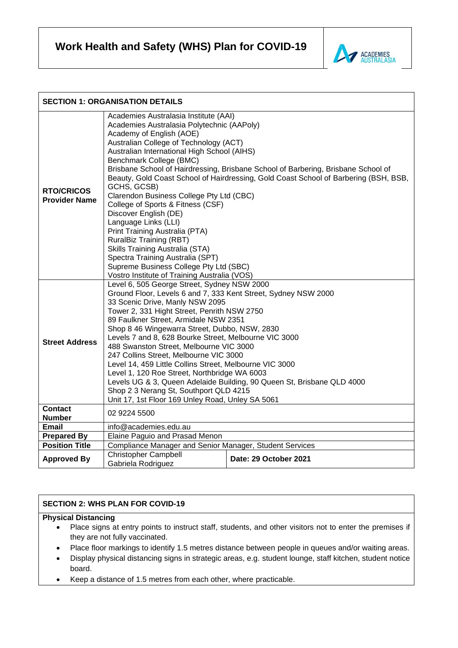**Work Health and Safety (WHS) Plan for COVID-19**



| <b>SECTION 1: ORGANISATION DETAILS</b>    |                                                                                                                                                                                                                                                                                                                                                                                                                                                                                                                                                                                                                                                                                                                                                                                                 |                       |
|-------------------------------------------|-------------------------------------------------------------------------------------------------------------------------------------------------------------------------------------------------------------------------------------------------------------------------------------------------------------------------------------------------------------------------------------------------------------------------------------------------------------------------------------------------------------------------------------------------------------------------------------------------------------------------------------------------------------------------------------------------------------------------------------------------------------------------------------------------|-----------------------|
| <b>RTO/CRICOS</b><br><b>Provider Name</b> | Academies Australasia Institute (AAI)<br>Academies Australasia Polytechnic (AAPoly)<br>Academy of English (AOE)<br>Australian College of Technology (ACT)<br>Australian International High School (AIHS)<br>Benchmark College (BMC)<br>Brisbane School of Hairdressing, Brisbane School of Barbering, Brisbane School of<br>Beauty, Gold Coast School of Hairdressing, Gold Coast School of Barbering (BSH, BSB,<br>GCHS, GCSB)<br>Clarendon Business College Pty Ltd (CBC)<br>College of Sports & Fitness (CSF)<br>Discover English (DE)<br>Language Links (LLI)<br>Print Training Australia (PTA)<br>RuralBiz Training (RBT)<br>Skills Training Australia (STA)<br>Spectra Training Australia (SPT)<br>Supreme Business College Pty Ltd (SBC)<br>Vostro Institute of Training Australia (VOS) |                       |
| <b>Street Address</b>                     | Level 6, 505 George Street, Sydney NSW 2000<br>Ground Floor, Levels 6 and 7, 333 Kent Street, Sydney NSW 2000<br>33 Scenic Drive, Manly NSW 2095<br>Tower 2, 331 Hight Street, Penrith NSW 2750<br>89 Faulkner Street, Armidale NSW 2351<br>Shop 8 46 Wingewarra Street, Dubbo, NSW, 2830<br>Levels 7 and 8, 628 Bourke Street, Melbourne VIC 3000<br>488 Swanston Street, Melbourne VIC 3000<br>247 Collins Street, Melbourne VIC 3000<br>Level 14, 459 Little Collins Street, Melbourne VIC 3000<br>Level 1, 120 Roe Street, Northbridge WA 6003<br>Levels UG & 3, Queen Adelaide Building, 90 Queen St, Brisbane QLD 4000<br>Shop 2 3 Nerang St, Southport QLD 4215<br>Unit 17, 1st Floor 169 Unley Road, Unley SA 5061                                                                      |                       |
| <b>Contact</b>                            | 02 9224 5500                                                                                                                                                                                                                                                                                                                                                                                                                                                                                                                                                                                                                                                                                                                                                                                    |                       |
| <b>Number</b>                             |                                                                                                                                                                                                                                                                                                                                                                                                                                                                                                                                                                                                                                                                                                                                                                                                 |                       |
| Email                                     | info@academies.edu.au                                                                                                                                                                                                                                                                                                                                                                                                                                                                                                                                                                                                                                                                                                                                                                           |                       |
| <b>Prepared By</b>                        | Elaine Paguio and Prasad Menon                                                                                                                                                                                                                                                                                                                                                                                                                                                                                                                                                                                                                                                                                                                                                                  |                       |
| <b>Position Title</b>                     | Compliance Manager and Senior Manager, Student Services                                                                                                                                                                                                                                                                                                                                                                                                                                                                                                                                                                                                                                                                                                                                         |                       |
| <b>Approved By</b>                        | <b>Christopher Campbell</b><br>Gabriela Rodriguez                                                                                                                                                                                                                                                                                                                                                                                                                                                                                                                                                                                                                                                                                                                                               | Date: 29 October 2021 |

# **SECTION 2: WHS PLAN FOR COVID-19**

## **Physical Distancing**

- Place signs at entry points to instruct staff, students, and other visitors not to enter the premises if they are not fully vaccinated.
- Place floor markings to identify 1.5 metres distance between people in queues and/or waiting areas.
- Display physical distancing signs in strategic areas, e.g. student lounge, staff kitchen, student notice board.
- Keep a distance of 1.5 metres from each other, where practicable.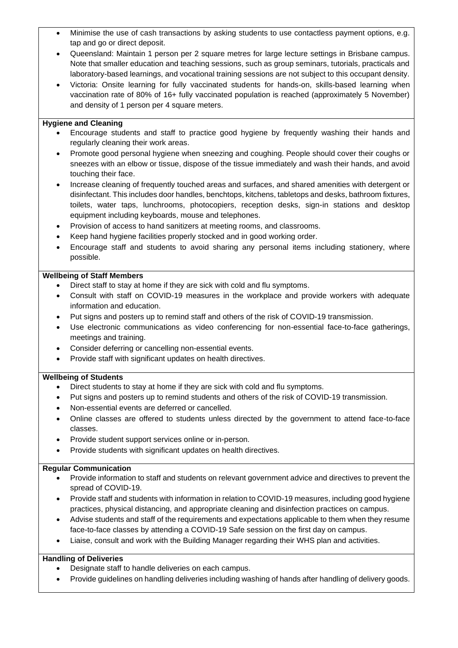- Minimise the use of cash transactions by asking students to use contactless payment options, e.g. tap and go or direct deposit.
- Queensland: Maintain 1 person per 2 square metres for large lecture settings in Brisbane campus. Note that smaller education and teaching sessions, such as group seminars, tutorials, practicals and laboratory-based learnings, and vocational training sessions are not subject to this occupant density.
- Victoria: Onsite learning for fully vaccinated students for hands-on, skills-based learning when vaccination rate of 80% of 16+ fully vaccinated population is reached (approximately 5 November) and density of 1 person per 4 square meters.

### **Hygiene and Cleaning**

- Encourage students and staff to practice good hygiene by frequently washing their hands and regularly cleaning their work areas.
- Promote good personal hygiene when sneezing and coughing. People should cover their coughs or sneezes with an elbow or tissue, dispose of the tissue immediately and wash their hands, and avoid touching their face.
- Increase cleaning of frequently touched areas and surfaces, and shared amenities with detergent or disinfectant. This includes door handles, benchtops, kitchens, tabletops and desks, bathroom fixtures, toilets, water taps, lunchrooms, photocopiers, reception desks, sign-in stations and desktop equipment including keyboards, mouse and telephones.
- Provision of access to hand sanitizers at meeting rooms, and classrooms.
- Keep hand hygiene facilities properly stocked and in good working order.
- Encourage staff and students to avoid sharing any personal items including stationery, where possible.

#### **Wellbeing of Staff Members**

- Direct staff to stay at home if they are sick with cold and flu symptoms.
- Consult with staff on COVID-19 measures in the workplace and provide workers with adequate information and education.
- Put signs and posters up to remind staff and others of the risk of COVID-19 transmission.
- Use electronic communications as video conferencing for non-essential face-to-face gatherings, meetings and training.
- Consider deferring or cancelling non-essential events.
- Provide staff with significant updates on health directives.

### **Wellbeing of Students**

- Direct students to stay at home if they are sick with cold and flu symptoms.
- Put signs and posters up to remind students and others of the risk of COVID-19 transmission.
- Non-essential events are deferred or cancelled.
- Online classes are offered to students unless directed by the government to attend face-to-face classes.
- Provide student support services online or in-person.
- Provide students with significant updates on health directives.

### **Regular Communication**

- Provide information to staff and students on relevant government advice and directives to prevent the spread of COVID-19.
- Provide staff and students with information in relation to COVID-19 measures, including good hygiene practices, physical distancing, and appropriate cleaning and disinfection practices on campus.
- Advise students and staff of the requirements and expectations applicable to them when they resume face-to-face classes by attending a COVID-19 Safe session on the first day on campus.
- Liaise, consult and work with the Building Manager regarding their WHS plan and activities.

### **Handling of Deliveries**

- Designate staff to handle deliveries on each campus.
- Provide guidelines on handling deliveries including washing of hands after handling of delivery goods.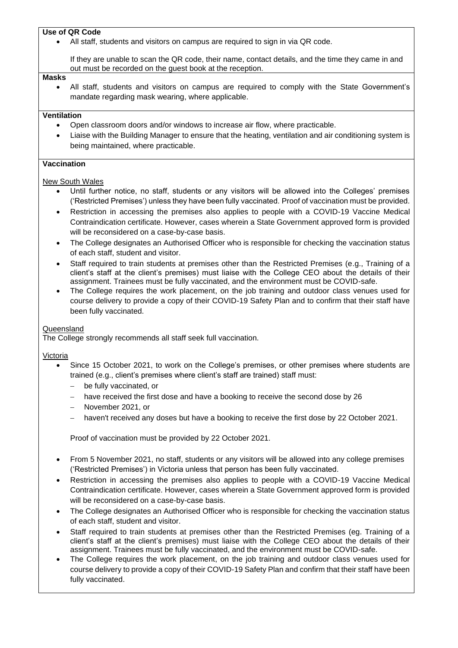## **Use of QR Code**

All staff, students and visitors on campus are required to sign in via QR code.

If they are unable to scan the QR code, their name, contact details, and the time they came in and out must be recorded on the guest book at the reception.

#### **Masks**

• All staff, students and visitors on campus are required to comply with the State Government's mandate regarding mask wearing, where applicable.

#### **Ventilation**

- Open classroom doors and/or windows to increase air flow, where practicable.
- Liaise with the Building Manager to ensure that the heating, ventilation and air conditioning system is being maintained, where practicable.

### **Vaccination**

New South Wales

- Until further notice, no staff, students or any visitors will be allowed into the Colleges' premises ('Restricted Premises') unless they have been fully vaccinated. Proof of vaccination must be provided.
- Restriction in accessing the premises also applies to people with a COVID-19 Vaccine Medical Contraindication certificate. However, cases wherein a State Government approved form is provided will be reconsidered on a case-by-case basis.
- The College designates an Authorised Officer who is responsible for checking the vaccination status of each staff, student and visitor.
- Staff required to train students at premises other than the Restricted Premises (e.g., Training of a client's staff at the client's premises) must liaise with the College CEO about the details of their assignment. Trainees must be fully vaccinated, and the environment must be COVID-safe.
- The College requires the work placement, on the job training and outdoor class venues used for course delivery to provide a copy of their COVID-19 Safety Plan and to confirm that their staff have been fully vaccinated.

#### Queensland

The College strongly recommends all staff seek full vaccination.

#### Victoria

- Since 15 October 2021, to work on the College's premises, or other premises where students are trained (e.g., client's premises where client's staff are trained) staff must:
	- − be fully vaccinated, or
	- have received the first dose and have a booking to receive the second dose by 26
	- − November 2021, or
	- − haven't received any doses but have a booking to receive the first dose by 22 October 2021.

Proof of vaccination must be provided by 22 October 2021.

- From 5 November 2021, no staff, students or any visitors will be allowed into any college premises ('Restricted Premises') in Victoria unless that person has been fully vaccinated.
- Restriction in accessing the premises also applies to people with a COVID-19 Vaccine Medical Contraindication certificate. However, cases wherein a State Government approved form is provided will be reconsidered on a case-by-case basis.
- The College designates an Authorised Officer who is responsible for checking the vaccination status of each staff, student and visitor.
- Staff required to train students at premises other than the Restricted Premises (eg. Training of a client's staff at the client's premises) must liaise with the College CEO about the details of their assignment. Trainees must be fully vaccinated, and the environment must be COVID-safe.
- The College requires the work placement, on the job training and outdoor class venues used for course delivery to provide a copy of their COVID-19 Safety Plan and confirm that their staff have been fully vaccinated.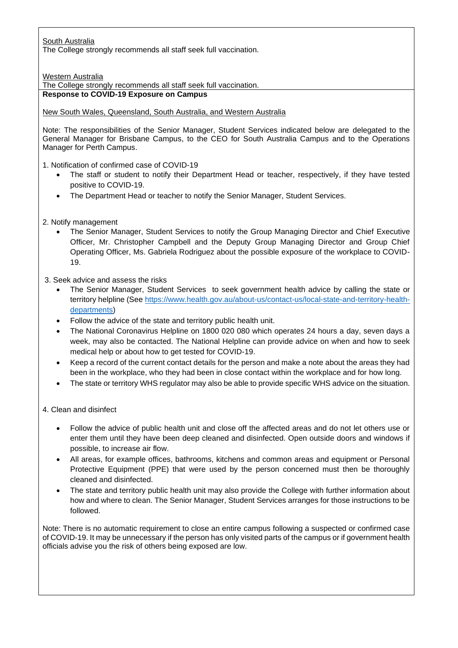South Australia The College strongly recommends all staff seek full vaccination.

Western Australia

The College strongly recommends all staff seek full vaccination.

**Response to COVID-19 Exposure on Campus**

New South Wales, Queensland, South Australia, and Western Australia

Note: The responsibilities of the Senior Manager, Student Services indicated below are delegated to the General Manager for Brisbane Campus, to the CEO for South Australia Campus and to the Operations Manager for Perth Campus.

1. Notification of confirmed case of COVID-19

- The staff or student to notify their Department Head or teacher, respectively, if they have tested positive to COVID-19.
- The Department Head or teacher to notify the Senior Manager, Student Services.

2. Notify management

• The Senior Manager, Student Services to notify the Group Managing Director and Chief Executive Officer, Mr. Christopher Campbell and the Deputy Group Managing Director and Group Chief Operating Officer, Ms. Gabriela Rodriguez about the possible exposure of the workplace to COVID-19.

3. Seek advice and assess the risks

- The Senior Manager, Student Services to seek government health advice by calling the state or territory helpline (See [https://www.health.gov.au/about-us/contact-us/local-state-and-territory-health](https://www.health.gov.au/about-us/contact-us/local-state-and-territory-health-departments)[departments\)](https://www.health.gov.au/about-us/contact-us/local-state-and-territory-health-departments)
- Follow the advice of the state and territory public health unit.
- The National Coronavirus Helpline on 1800 020 080 which operates 24 hours a day, seven days a week, may also be contacted. The National Helpline can provide advice on when and how to seek medical help or about how to get tested for COVID-19.
- Keep a record of the current contact details for the person and make a note about the areas they had been in the workplace, who they had been in close contact within the workplace and for how long.
- The state or territory WHS regulator may also be able to provide specific WHS advice on the situation.

4. Clean and disinfect

- Follow the advice of public health unit and close off the affected areas and do not let others use or enter them until they have been deep cleaned and disinfected. Open outside doors and windows if possible, to increase air flow.
- All areas, for example offices, bathrooms, kitchens and common areas and equipment or Personal Protective Equipment (PPE) that were used by the person concerned must then be thoroughly cleaned and disinfected.
- The state and territory public health unit may also provide the College with further information about how and where to clean. The Senior Manager, Student Services arranges for those instructions to be followed.

Note: There is no automatic requirement to close an entire campus following a suspected or confirmed case of COVID-19. It may be unnecessary if the person has only visited parts of the campus or if government health officials advise you the risk of others being exposed are low.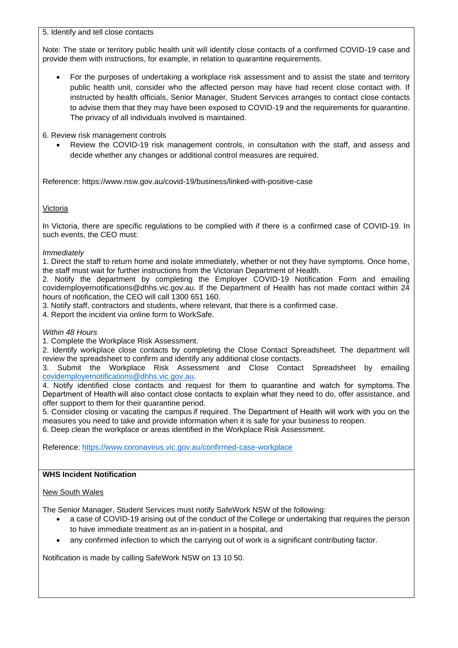5. Identify and tell close contacts

Note: The state or territory public health unit will identify close contacts of a confirmed COVID-19 case and provide them with instructions, for example, in relation to quarantine requirements.

• For the purposes of undertaking a workplace risk assessment and to assist the state and territory public health unit, consider who the affected person may have had recent close contact with. If instructed by health officials, Senior Manager, Student Services arranges to contact close contacts to advise them that they may have been exposed to COVID-19 and the requirements for quarantine. The privacy of all individuals involved is maintained.

6. Review risk management controls

Review the COVID-19 risk management controls, in consultation with the staff, and assess and decide whether any changes or additional control measures are required.

Reference: https://www.nsw.gov.au/covid-19/business/linked-with-positive-case

Victoria

In Victoria, there are specific regulations to be complied with if there is a confirmed case of COVID-19. In such events, the CEO must:

## *Immediately*

1. Direct the staff to return home and isolate immediately, whether or not they have symptoms. Once home, the staff must wait for further instructions from the Victorian Department of Health.

2. Notify the department by completing the Employer COVID-19 Notification Form and emailing covidemployernotifications@dhhs.vic.gov.au. If the Department of Health has not made contact within 24 hours of notification, the CEO will call 1300 651 160.

3. Notify staff, contractors and students, where relevant, that there is a confirmed case.

4. Report the incident via online form to WorkSafe.

### *Within 48 Hours*

1. Complete the Workplace Risk Assessment.

2. Identify workplace close contacts by completing the Close Contact Spreadsheet. The department will review the spreadsheet to confirm and identify any additional close contacts.

3. Submit the Workplace Risk Assessment and Close Contact Spreadsheet by emailing [covidemployernotifications@dhhs.vic.gov.au.](mailto:covidemployernotifications@dhhs.vic.gov.au)

4. Notify identified close contacts and request for them to quarantine and watch for symptoms. The Department of Health will also contact close contacts to explain what they need to do, offer assistance, and offer support to them for their quarantine period.

5. Consider closing or vacating the campus if required. The Department of Health will work with you on the measures you need to take and provide information when it is safe for your business to reopen. 6. Deep clean the workplace or areas identified in the Workplace Risk Assessment.

Reference:<https://www.coronavirus.vic.gov.au/confirmed-case-workplace>

### **WHS Incident Notification**

# New South Wales

The Senior Manager, Student Services must notify SafeWork NSW of the following:

- a case of COVID-19 arising out of the conduct of the College or undertaking that requires the person to have immediate treatment as an in-patient in a hospital, and
- any confirmed infection to which the carrying out of work is a significant contributing factor.

Notification is made by calling SafeWork NSW on 13 10 50.